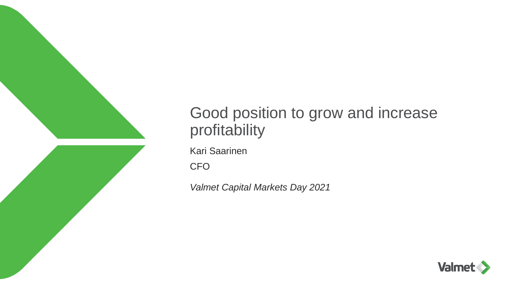

# Good position to grow and increase profitability

Kari Saarinen

**CFO** 

*Valmet Capital Markets Day 2021*

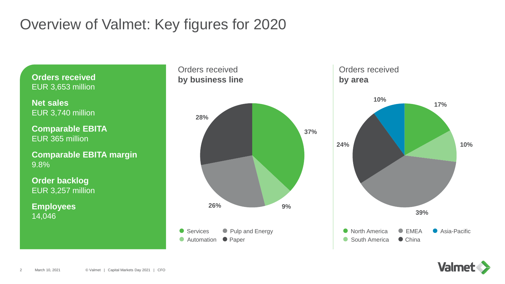# Overview of Valmet: Key figures for 2020

**Orders received** EUR 3,653 million

**Net sales**  EUR 3,740 million

**Comparable EBITA** EUR 365 million

**Comparable EBITA margin** 9.8%

**Order backlog** EUR 3,257 million

**Employees** 14,046







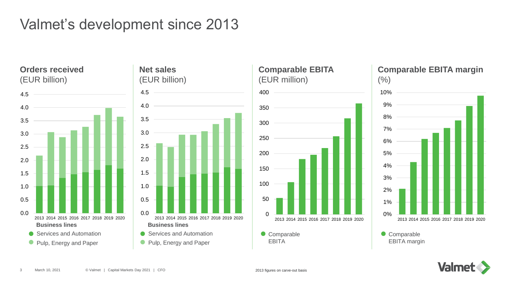# Valmet's development since 2013

**Orders received** (EUR billion)







### **Comparable EBITA margin**



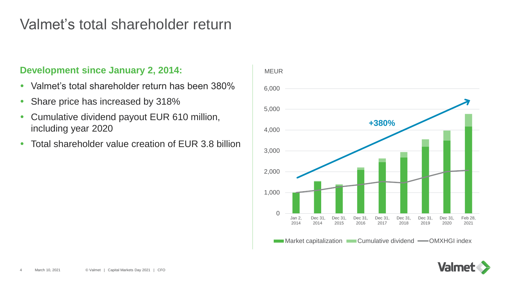### Valmet's total shareholder return

#### **Development since January 2, 2014:**

- Valmet's total shareholder return has been 380%
- Share price has increased by 318%
- Cumulative dividend payout EUR 610 million, including year 2020
- Total shareholder value creation of EUR 3.8 billion



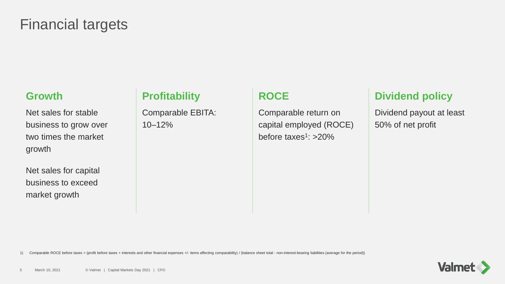## Financial targets

#### **Growth**

Net sales for stable business to grow over two times the market growth

Net sales for capital business to exceed market growth

### **Profitability**

Comparable EBITA: 10–12%

### **ROCE**

Comparable return on capital employed (ROCE) before taxes<sup>1</sup>: >20%

### **Dividend policy**

Dividend payout at least 50% of net profit

1) Comparable ROCE before taxes = (profit before taxes + interests and other financial expenses +/- items affecting comparability) / (balance sheet total - non-interest-bearing liabilities (average for the period))

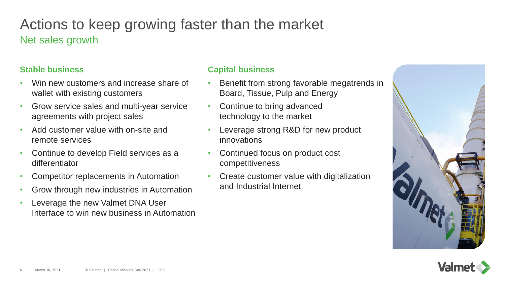## Actions to keep growing faster than the market Net sales growth

#### **Stable business**

- Win new customers and increase share of wallet with existing customers
- Grow service sales and multi-year service agreements with project sales
- Add customer value with on-site and remote services
- Continue to develop Field services as a differentiator
- Competitor replacements in Automation
- Grow through new industries in Automation
- Leverage the new Valmet DNA User Interface to win new business in Automation

#### **Capital business**

- Benefit from strong favorable megatrends in Board, Tissue, Pulp and Energy
- Continue to bring advanced technology to the market
- Leverage strong R&D for new product innovations
- Continued focus on product cost competitiveness
- Create customer value with digitalization and Industrial Internet



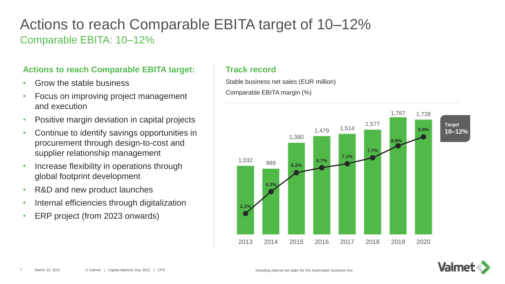### Actions to reach Comparable EBITA target of 10–12% Comparable EBITA: 10–12%

#### **Actions to reach Comparable EBITA target:**

- Grow the stable business
- Focus on improving project management and execution
- Positive margin deviation in capital projects
- Continue to identify savings opportunities in procurement through design-to-cost and supplier relationship management
- Increase flexibility in operations through global footprint development
- R&D and new product launches
- Internal efficiencies through digitalization
- ERP project (from 2023 onwards)

#### **Track record**

Stable business net sales (EUR million) Comparable EBITA margin (%)



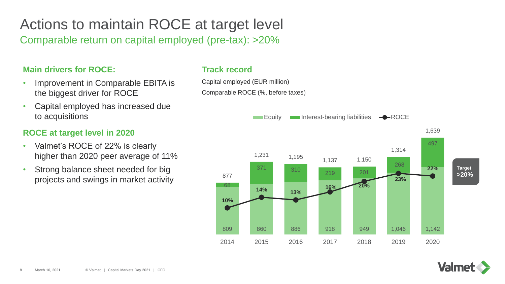# Actions to maintain ROCE at target level

Comparable return on capital employed (pre-tax): >20%

#### **Main drivers for ROCE:**

- Improvement in Comparable EBITA is the biggest driver for ROCE
- Capital employed has increased due to acquisitions

#### **ROCE at target level in 2020**

- Valmet's ROCE of 22% is clearly higher than 2020 peer average of 11%
- Strong balance sheet needed for big projects and swings in market activity

#### **Track record**

Capital employed (EUR million) Comparable ROCE (%, before taxes)



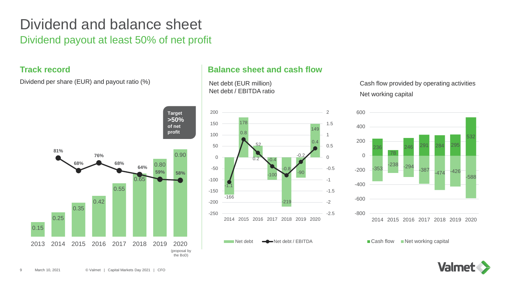### Dividend and balance sheet Dividend payout at least 50% of net profit

#### **Track record**

Dividend per share (EUR) and payout ratio (%)



#### **Balance sheet and cash flow**

Net debt (EUR million) Net debt / EBITDA ratio



Cash flow provided by operating activities Net working capital



 $\blacksquare$  Cash flow  $\blacksquare$  Net working capital

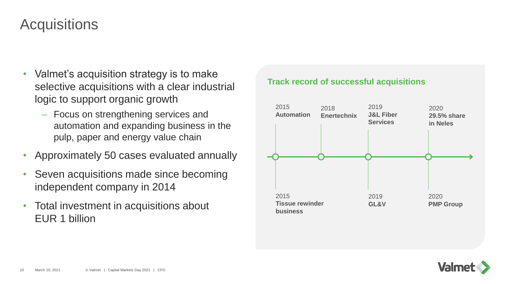## **Acquisitions**

- Valmet's acquisition strategy is to make selective acquisitions with a clear industrial logic to support organic growth
	- ‒ Focus on strengthening services and automation and expanding business in the pulp, paper and energy value chain
- Approximately 50 cases evaluated annually
- Seven acquisitions made since becoming independent company in 2014
- Total investment in acquisitions about EUR 1 billion

#### **Track record of successful acquisitions**



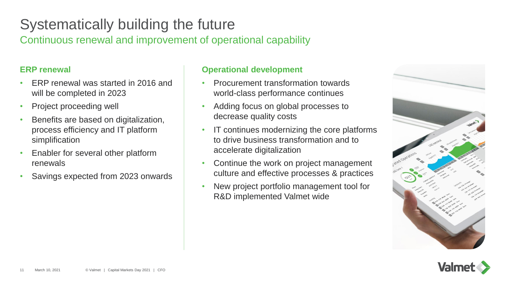# Systematically building the future

Continuous renewal and improvement of operational capability

#### **ERP renewal**

- ERP renewal was started in 2016 and will be completed in 2023
- Project proceeding well
- Benefits are based on digitalization, process efficiency and IT platform simplification
- Enabler for several other platform renewals
- Savings expected from 2023 onwards

#### **Operational development**

- Procurement transformation towards world-class performance continues
- Adding focus on global processes to decrease quality costs
- IT continues modernizing the core platforms to drive business transformation and to accelerate digitalization
- Continue the work on project management culture and effective processes & practices
- New project portfolio management tool for R&D implemented Valmet wide